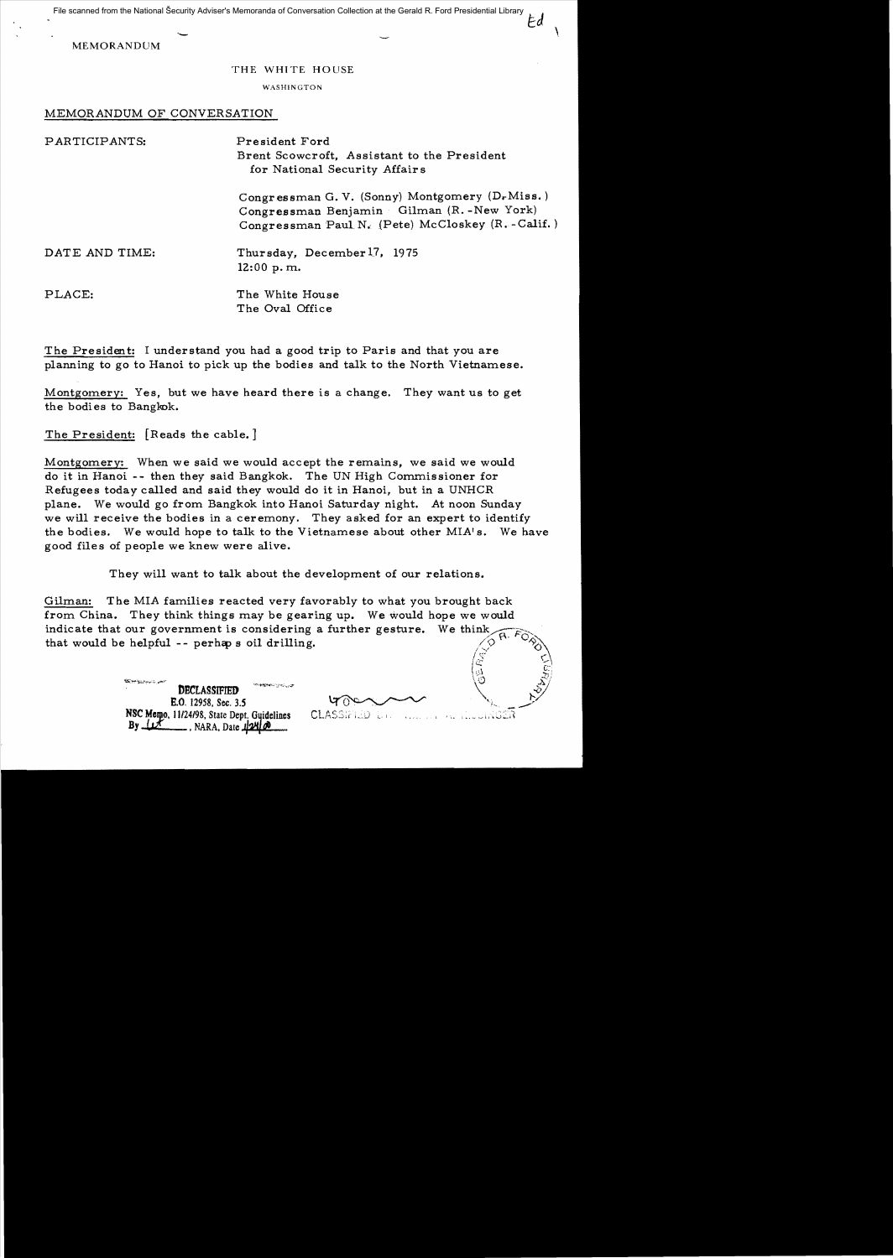File scanned from the National Security Adviser's Memoranda of Conversation Collection at the Gerald R. Ford Presidential LibraryEd

MEMORANDUM

## THE WHITE HOUSE

WASHINGTON

MEMORANDUM OF CONVERSATION

| PARTICIPANTS:  | President Ford<br>Brent Scowcroft, Assistant to the President<br>for National Security Affairs                                                    |
|----------------|---------------------------------------------------------------------------------------------------------------------------------------------------|
|                | Congressman G. V. (Sonny) Montgomery (D.Miss.)<br>Congressman Benjamin Gilman (R.-New York)<br>Congressman Paul N. (Pete) McCloskey (R. - Calif.) |
| DATE AND TIME: | Thursday, December 17, 1975<br>12:00 p.m.                                                                                                         |
| PLACE:         | The White House<br>The Oval Office                                                                                                                |

The President: I understand you had a good trip to Paris and that you are planning to go to Hanoi to pick up the bodies and talk to the North Vietnamese.

Montgomery: Yes, but we have heard there is a change. They want us to get the bodies to Bangkok.

The President: [Reads the cable. ]

Montgomery: When we said we would accept the remains, we said we would do it in Hanoi -- then they said Bangkok. The UN High Commissioner for Refugees today called and said they would do it in Hanoi, but in a UNHCR plane. We would go from Bangkok into Hanoi Saturday night. At noon Sunday we will receive the bodies in a ceremony. They asked for an expert to identify the bodies. We would hope to talk to the Vietnamese about other MIA's. We have good files of people we knew were alive.

They will want to talk about the development of our relations.

Gilman: The MIA families reacted very favorably to what you brought back from China. They think things may be gearing up. We would hope we would indicate that our government is considering a further gesture. We think that would be helpful -- perhaps oil drilling.  $\begin{matrix} \mathbb{Z} & \mathbb{Z} \ \mathbb{Z} & \mathbb{Z} \end{matrix}$ 

 $\frac{1}{\sqrt{2}}$ ,  $\frac{1}{\sqrt{2}}$ ,  $\frac{1}{\sqrt{2}}$ E.O, 12958, Sec. *3.S* NSC Memo, 11/24/98, State Dept. Guidelines  $By$   $\mu$   $\mu$   $\mu$ , NARA, Date  $\mu$ 24 $\mu$ 

 $\gamma$  and  $\gamma$ 

**CLASSIFIED**  $\lambda$  and كالشائختيات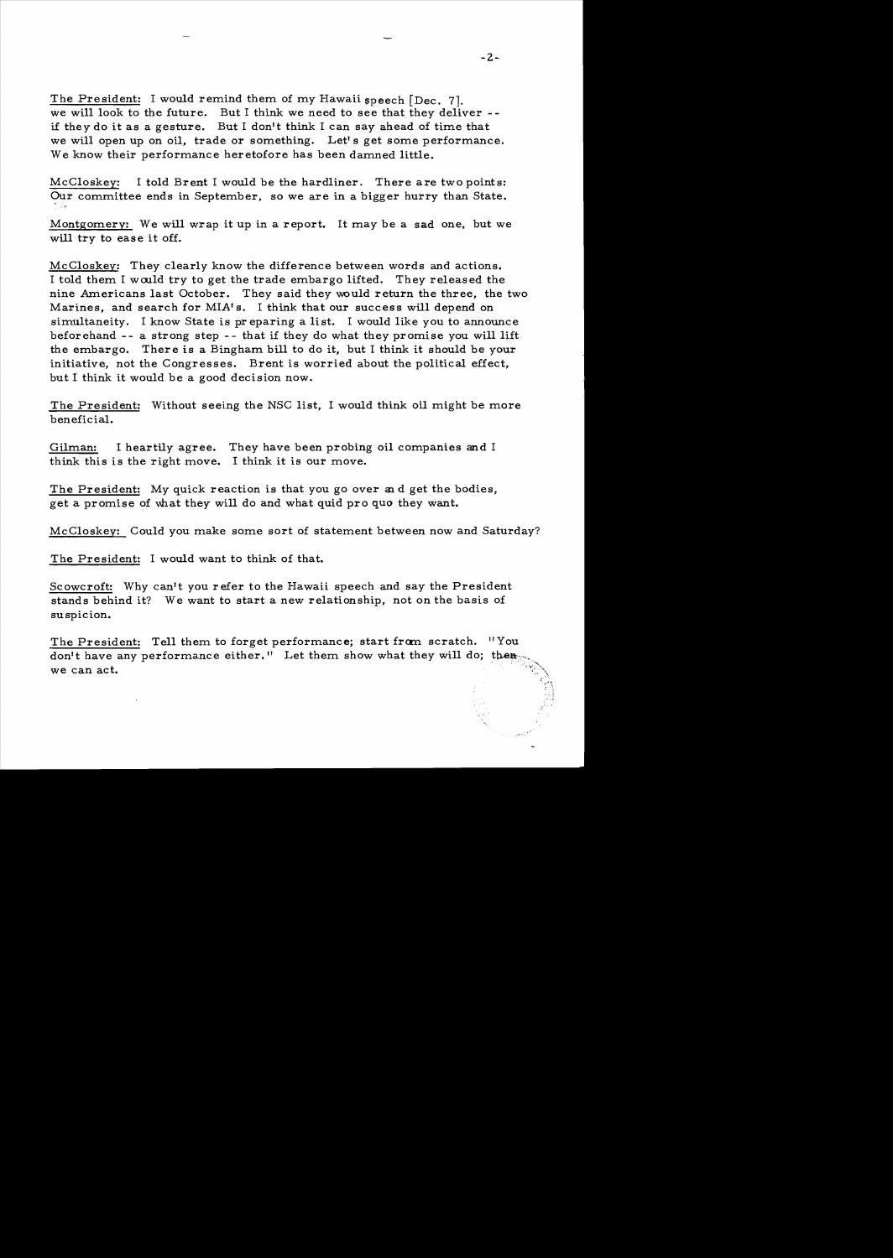The President: I would remind them of my Hawaii speech [Dec. 71. we will look to the future. But I think we need to see that they deliver -if they do it as a gesture. But I don't think I can say ahead of time that we will open up on oil, trade or something. Let's get some performance. We know their performance heretofore has been damned little.

McCloskey: I told Brent I would be the hardliner. There are two points: Our committee ends in September, so we are in a bigger hurry than State.

Montgomery: We will wrap it up in a report. It may be a sad one, but we will try to ease it off.

McCloskey: They clearly know the difference between words and actions. I told them I wculd try to get the trade embargo lifted. They released the nine Americans last October. They said they would return the three, the two Marines, and search for MIA's. I think that our success will depend on simultaneity. I know State is pr eparing a list. I would like you to announce beforehand - - a strong step - - that if they do what they promise you will lift the embargo. There is a Bingham bill to do it, but I think it should be your initiative, not the Congresses. Brent is worried about the political effect, but I think it would be a good decision now.

The President: Without seeing the NSC list, I would think oil might be more beneficial.

Gilman: I heartily agree. They have been probing oil companies and I think this is the right move. I think it is our move.

The President: My quick reaction is that you go over and get the bodies, get a promise of what they will do and what quid pro quo they want.

McCloskey: Could you make some sort of statement between now and Saturday?

The President: I would want to think of that.

Scowcroft: Why can't you refer to the Hawaii speech and say the President stands behind it? We want to start a new relationship, not on the basis of suspicion.

The President: Tell them to forget performance; start from scratch. "You don't have any performance either." Let them show what they will do; then we can act.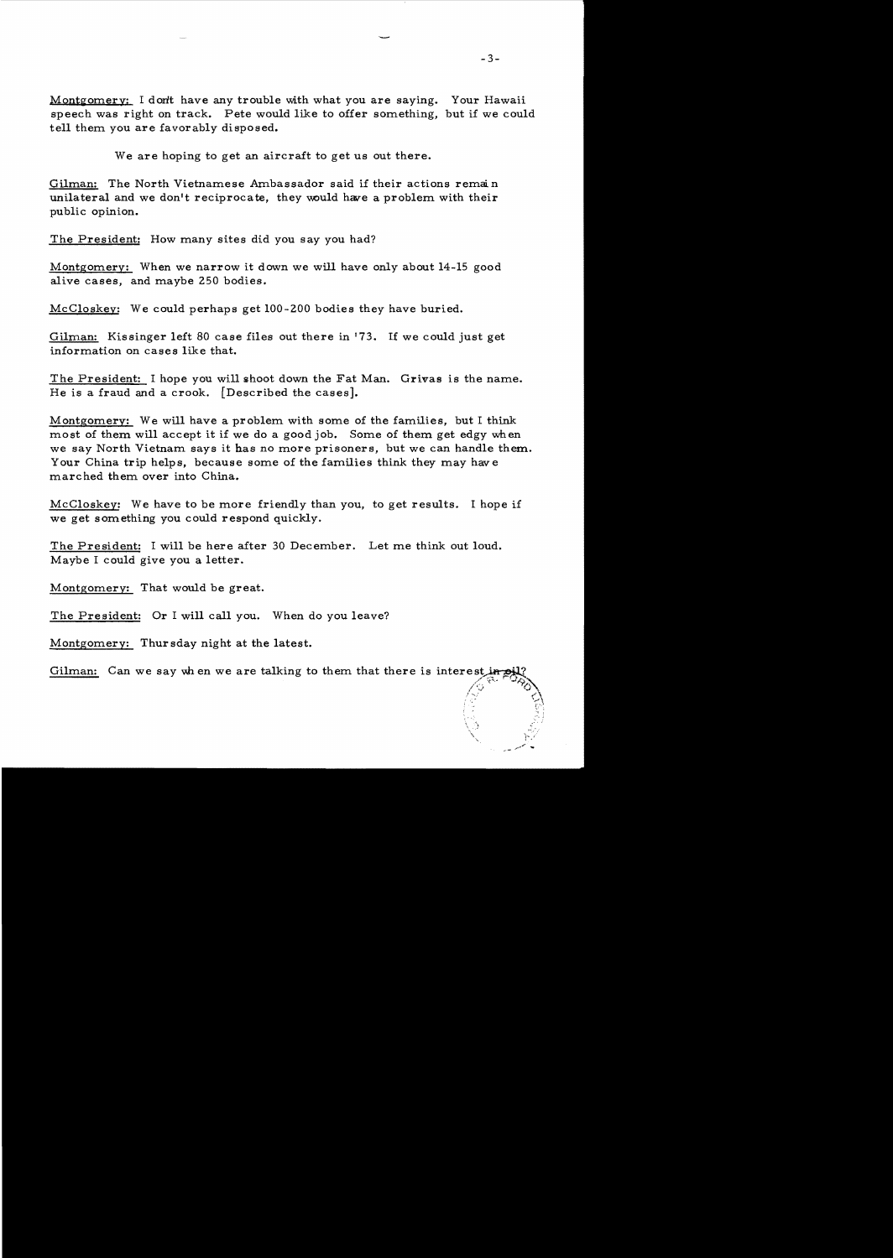Montgomery: I don't have any trouble with what you are saying. Your Hawaii speech was right on track. Pete would like to offer something, but if we could tell them you are favorably disposed.

We are hoping to get an aircraft to get us out there.

Gilman: The North Vietnamese Ambassador said if their actions remain unilateral and we don't reciprocate, they would have a problem with their public opinion.

The President: How many sites did you say you had?

Montgomery: When we narrow it down we will have only about 14-15 good alive cases, and maybe 250 bodies.

McCloskey: We could perhaps get 100-200 bodies they have buried.

Gilman: Kissinger left 80 case files out there in 173. If we could just get information on cases like that.

The President: I hope you will shoot down the Fat Man. Grivas is the name. He is a fraud and a crook. [Described the cases].

Montgomery: We will have a problem with some of the families, but I think most of them will accept it if we do a good job. Some of them get edgy when we say North Vietnam says it has no more prisoners, but we can handle them. Your China trip helps, because some of the families think they may have marc hed them over into China.

McCloskev: We have to be more friendly than you, to get results. I hope if we get something you could respond quickly.

The President: I will be here after 30 December. Let me think out loud. Maybe I could give you a letter.

Montgomery: That would be great.

The President: Or I will call you. When do you leave?

Montgomery: Thur sday night at the latest.

Gilman: Can we say when we are talking to them that there is interest in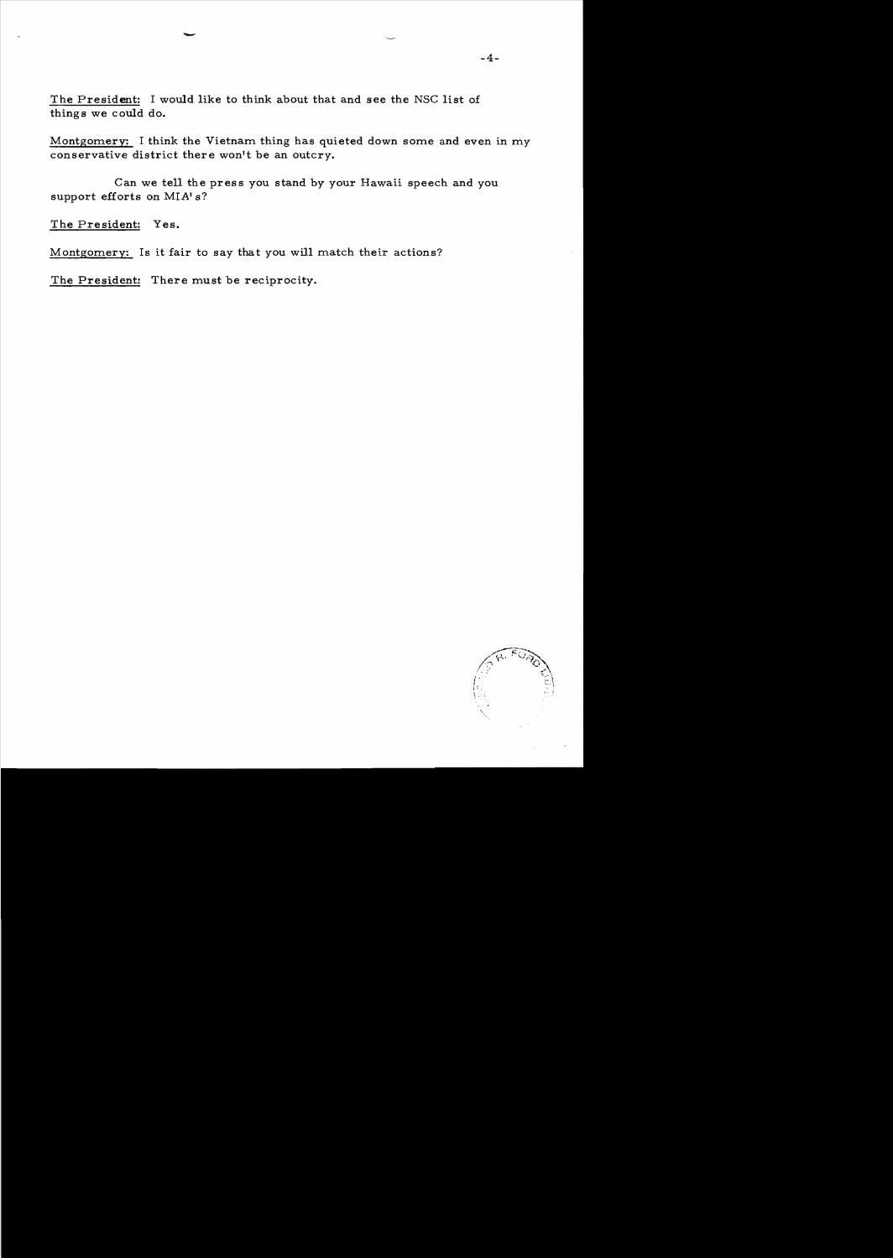The President: I would like to think about that and see the NSC list of things we could do.

Montgomery: I think the Vietnam thing has quieted down some and even in my conservative district there won't be an outcry.

Can we tell the press you stand by your Hawaii speech and you support efforts on MIA's?

The President: Yes.

Montgomery: Is it fair to say that you will match their actions?

The President: There must be reciprocity.

-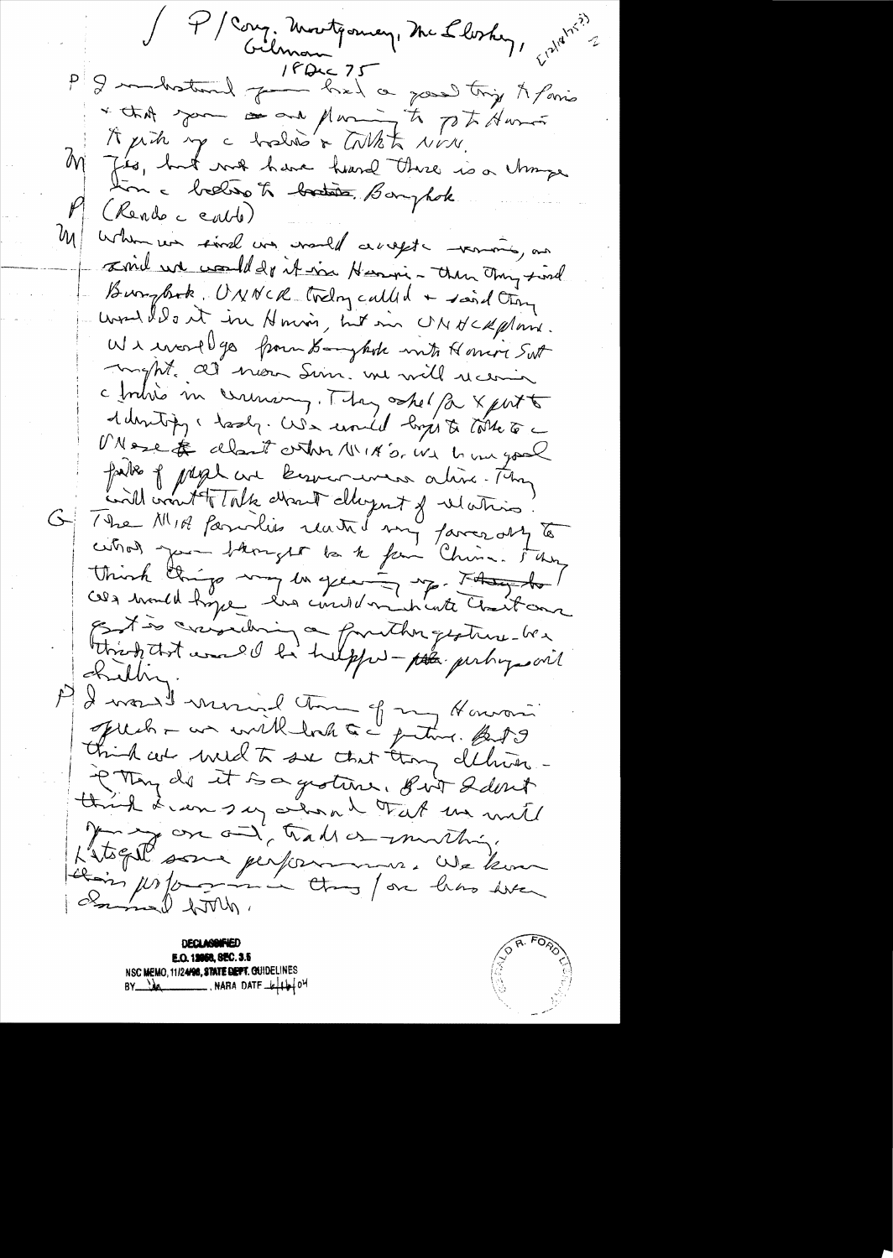J P / Cong, Montgomery, Mc Lloskey, prediction P I maked for her 25 \* that you is no part to pt Ausin  $M$ Jes, huit vous have heard there is a change (Rende cents)  $|b\mu|$ When we sind was would accept - vermois, one sind we would do it in Henri- then They sind Burghook, UNNCR treling called + said ting would dont in Houri, hit in UNHCRpland. W1 encorell go from Banyhoh mit Honivi Sut Inght, all non Sun, me will receive c britis in ceremany. They shelf a xport debutify, lesly. We united lights tothe to Mose & clarit orther 11/18's. We have good faite of preplace kerman were alive. They G The MIR families reated any favor any to think things my la green my though ! Estis crisidenin a fruither gestime les thirst was I be helpful - pla perhy soit Killing I would mind the of my Howard.<br>July - un with took a grating. BJS  $\mathcal{P}$ PMing de it sa groture. But Idout third & can say about that we will gon and hall or monthing Litogré sone performance. We kom

**DECLAREMED** E.O. 19968, SEC. 3.5 NSC MEMO, 11/24/98, STATE DEPT. GUIDELINES  $BY$   $M$ 

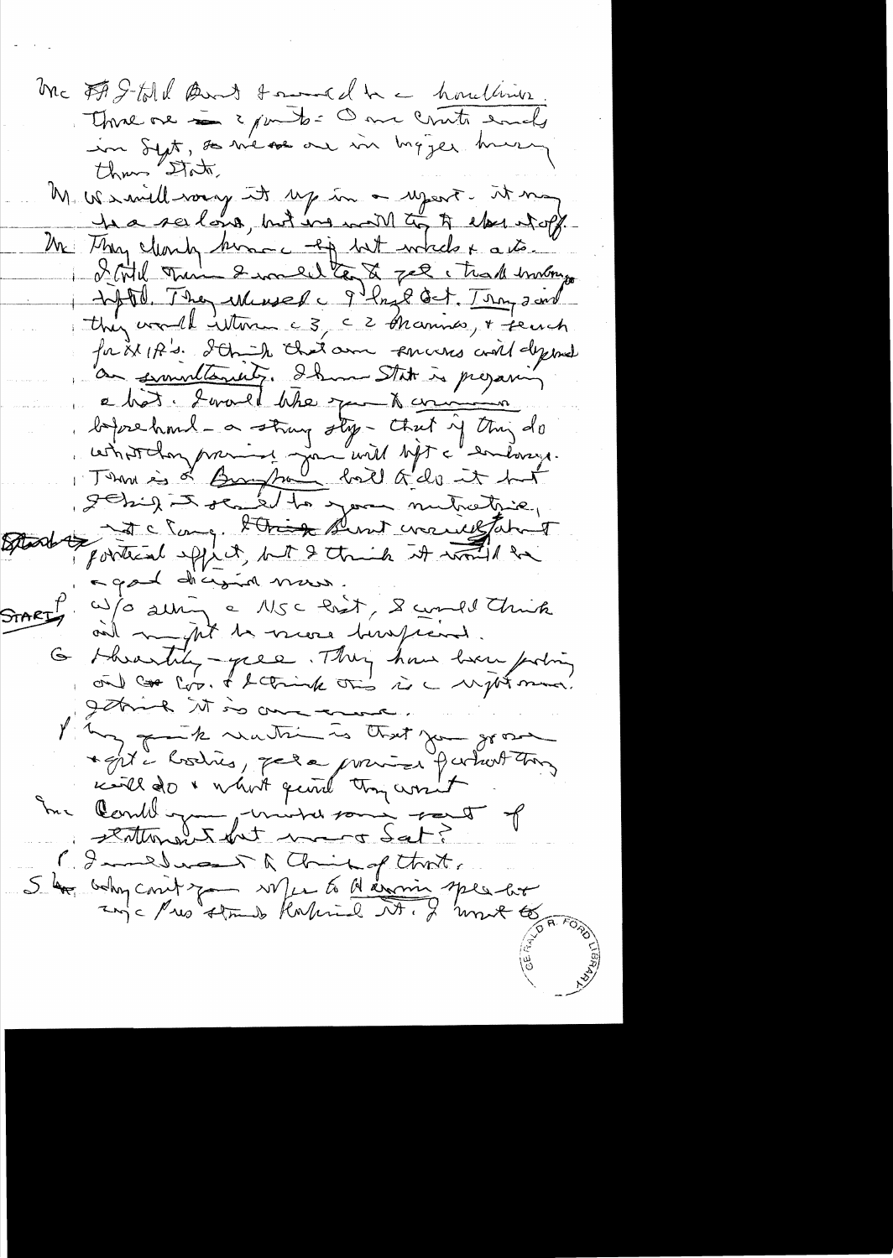Mc FAS-told Band toward he houling Thread on 2 junto- One countre empty in Syst, so we see or in hyzer known than State, M. We import to the form of the product of the ha seelong, but in will to to else whoff Mr They Monty home - of but while + a to. I will then I will te to get that instrument they would interne c 3, c 2 Aramis, + seuch for it If s. I think that am someons and dypand an semultancity. Ihm State is prejaring a bot. Lorald Whe you to common before hand - a strong sty - that if they do<br>ushorthay province and will before and work agod dicional mass. W/O alling a M5c Pret, & could think and mythe to veces huspiced. G shrantity-year. They have been pointing getting it is one or hop facts watching to that you go a \* Est à lostres, par la promise partiest tous me Comment minutes sont of 1. Immedias of animal think. 5 les belong conit que ville to d'avais speciales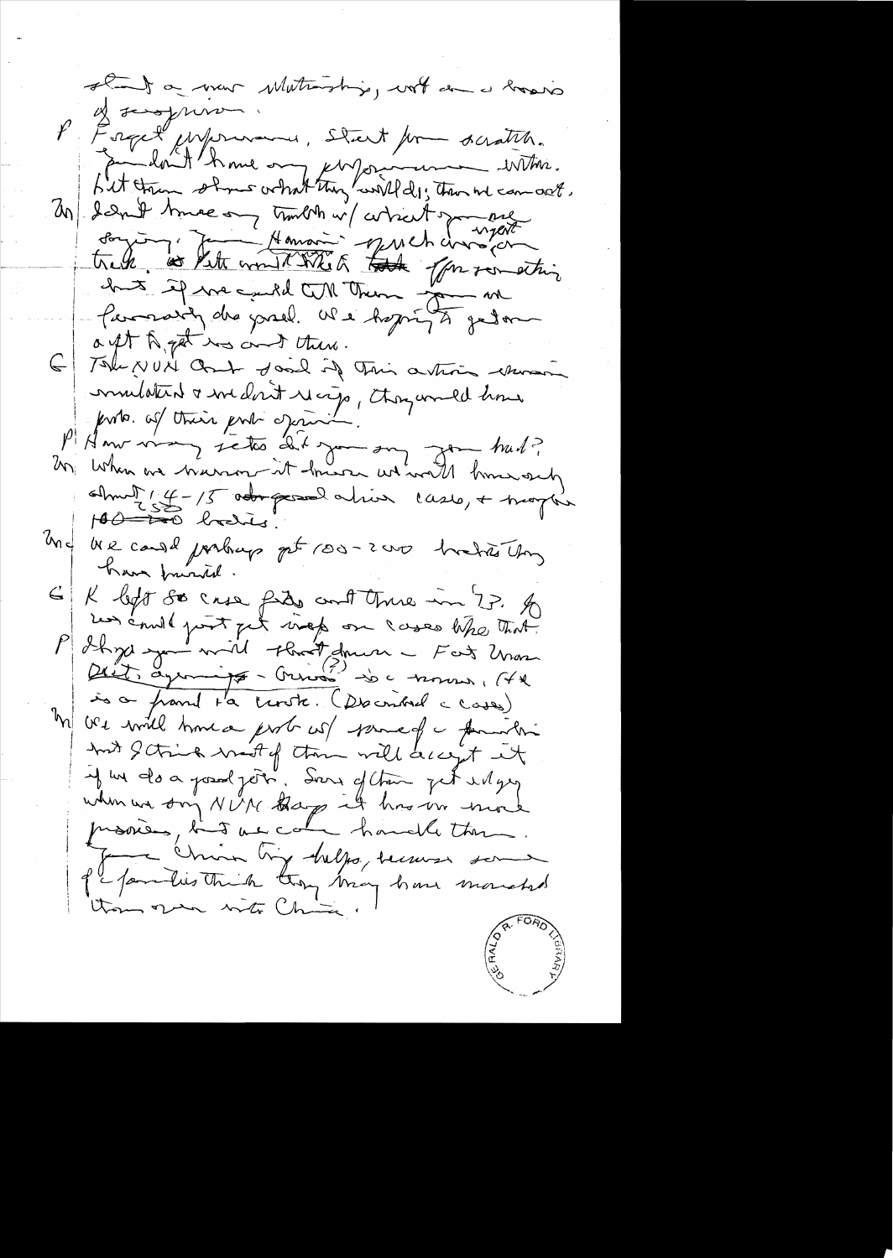stand a mour Mutuniship, with an a lovers P Fraget Monsieur, Start form deratch.<br>Le font troup of the one performance with. 20) dand true on trouvent a france huit if me cuild till them in Parmarily des jouel. We hoping to get a ft A get no and there. 6 Tak NUN Ont don't if This artis when mulated a medicit recip, thoughould have forte. of their port oprini P American sistes dit go sur  $7 - 442$ 2001 When we breezen it have we would know out commet  $(4 - 15$  odos passal alina cases, + trapla  $100 - 100$  baches! We cand perhaps get 100-2000 hockers Ung  $40^{\circ}$ have friendd. G K left se case file cont three in 77. A P Ihre and point pet viert om lasses tike that is a franch ta tente. (Decembre ceases) M ve will have prob w/ samed a familie And Schied most of them will accept it if we do a posad join. Sour of their get und geg when we don't NUN thay it has ver more